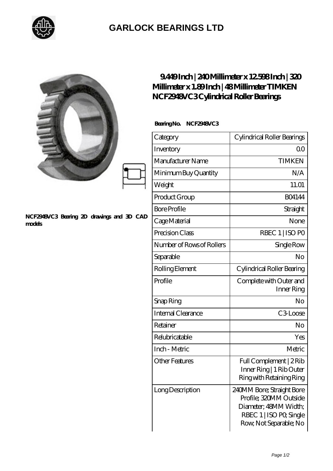

## **[GARLOCK BEARINGS LTD](https://m.letterstopriests.com)**

|                                                     | 9449Inch   240Millimeter x 12598Inch   320<br>Millimeter x 1.89Inch   48Millimeter TIMKEN<br>NCF2948VC3Cylindrical Roller Bearings |                                                                                                                                   |
|-----------------------------------------------------|------------------------------------------------------------------------------------------------------------------------------------|-----------------------------------------------------------------------------------------------------------------------------------|
|                                                     | BearingNo. NCF2948VC3                                                                                                              |                                                                                                                                   |
|                                                     | Category                                                                                                                           | Cylindrical Roller Bearings                                                                                                       |
|                                                     | Inventory                                                                                                                          | 0 <sup>0</sup>                                                                                                                    |
|                                                     | Manufacturer Name                                                                                                                  | <b>TIMKEN</b>                                                                                                                     |
|                                                     | Minimum Buy Quantity                                                                                                               | N/A                                                                                                                               |
|                                                     | Weight                                                                                                                             | 11.01                                                                                                                             |
|                                                     | Product Group                                                                                                                      | BO4144                                                                                                                            |
|                                                     | <b>Bore Profile</b>                                                                                                                | Straight                                                                                                                          |
| NCF2948VC3 Bearing 2D drawings and 3D CAD<br>models | Cage Material                                                                                                                      | None                                                                                                                              |
|                                                     | Precision Class                                                                                                                    | RBEC 1   ISO PO                                                                                                                   |
|                                                     | Number of Rows of Rollers                                                                                                          | Single Row                                                                                                                        |
|                                                     | Separable                                                                                                                          | No                                                                                                                                |
|                                                     | Rolling Element                                                                                                                    | Cylindrical Roller Bearing                                                                                                        |
|                                                     | Profile                                                                                                                            | Complete with Outer and<br>Inner Ring                                                                                             |
|                                                     | Snap Ring                                                                                                                          | No                                                                                                                                |
|                                                     | Internal Clearance                                                                                                                 | $C3$ Loose                                                                                                                        |
|                                                     | Retainer                                                                                                                           | No                                                                                                                                |
|                                                     | Relubricatable                                                                                                                     | Yes                                                                                                                               |
|                                                     | Inch - Metric                                                                                                                      | Metric                                                                                                                            |
|                                                     | <b>Other Features</b>                                                                                                              | Full Complement   2Rib<br>Inner Ring   1 Rib Outer<br>Ring with Retaining Ring                                                    |
|                                                     | Long Description                                                                                                                   | 240MM Bore; Straight Bore<br>Profile; 320MM Outside<br>Diameter; 48MM Width;<br>RBEC 1   ISO PO, Single<br>Row, Not Separable; No |